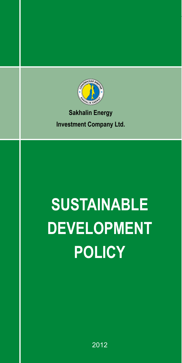

### **Sakhalin Energy Investment Company Ltd.**

# **Sustainable Development Policy**

2012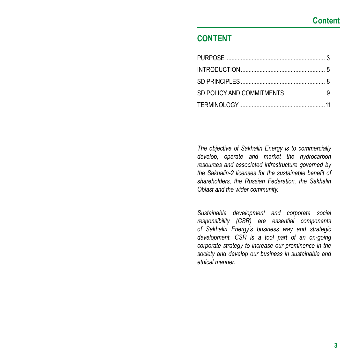## **CONTENT**

*The objective of Sakhalin Energy is to commercially develop, operate and market the hydrocarbon resources and associated infrastructure governed by the Sakhalin-2 licenses for the sustainable benefit of shareholders, the Russian Federation, the Sakhalin Oblast and the wider community.*

*Sustainable development and corporate social responsibility (CSR) are essential components of Sakhalin Energy's business way and strategic development. CSR is a tool part of an on-going corporate strategy to increase our prominence in the society and develop our business in sustainable and ethical manner.*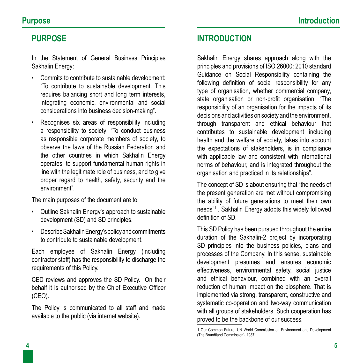#### **PURPOSE**

In the Statement of General Business Principles Sakhalin Energy:

- • Commits to contribute to sustainable development: "To contribute to sustainable development. This requires balancing short and long term interests, integrating economic, environmental and social considerations into business decision-making".
- • Recognises six areas of responsibility including a responsibility to society: "To conduct business as responsible corporate members of society, to observe the laws of the Russian Federation and the other countries in which Sakhalin Energy operates, to support fundamental human rights in line with the legitimate role of business, and to give proper regard to health, safety, security and the environment".

The main purposes of the document are to:

- • Outline Sakhalin Energy's approach to sustainable development (SD) and SD principles.
- Describe Sakhalin Energy's policy and commitments to contribute to sustainable development.

Each employee of Sakhalin Energy (including contractor staff) has the responsibility to discharge the requirements of this Policy.

CED reviews and approves the SD Policy. On their behalf it is authorised by the Chief Executive Officer (CEO).

The Policy is communicated to all staff and made available to the public (via internet website).

### **INTRODUCTION**

Sakhalin Energy shares approach along with the principles and provisions of ISO 26000: 2010 standard Guidance on Social Responsibility containing the following definition of social responsibility for any type of organisation, whether commercial company, state organisation or non-profit organisation: "The responsibility of an organisation for the impacts of its decisions and activities on society and the environment, through transparent and ethical behaviour that contributes to sustainable development including health and the welfare of society, takes into account the expectations of stakeholders, is in compliance with applicable law and consistent with international norms of behaviour, and is integrated throughout the organisation and practiced in its relationships".

The concept of SD is about ensuring that "the needs of the present generation are met without compromising the ability of future generations to meet their own needs"<sup>1</sup> . Sakhalin Energy adopts this widely followed definition of SD.

This SD Policy has been pursued throughout the entire duration of the Sakhalin-2 project by incorporating SD principles into the business policies, plans and processes of the Company. In this sense, sustainable development presumes and ensures economic effectiveness, environmental safety, social justice and ethical behaviour, combined with an overall reduction of human impact on the biosphere. That is implemented via strong, transparent, constructive and systematic co-operation and two-way communication with all groups of stakeholders. Such cooperation has proved to be the backbone of our success.

<sup>1</sup> Our Common Future; UN World Commission on Environment and Development (The Brundtland Commission), 1987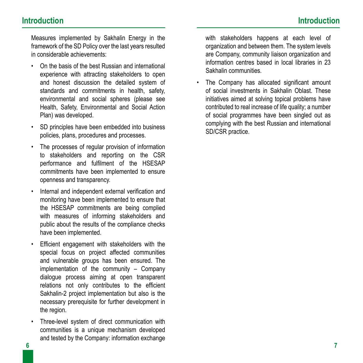Measures implemented by Sakhalin Energy in the framework of the SD Policy over the last years resulted in considerable achievements:

- On the basis of the best Russian and international experience with attracting stakeholders to open and honest discussion the detailed system of standards and commitments in health, safety, environmental and social spheres (please see Health, Safety, Environmental and Social Action Plan) was developed.
- SD principles have been embedded into business policies, plans, procedures and processes.
- The processes of regular provision of information to stakeholders and reporting on the CSR performance and fulfilment of the HSESAP commitments have been implemented to ensure openness and transparency.
- • Internal and independent external verification and monitoring have been implemented to ensure that the HSESAP commitments are being complied with measures of informing stakeholders and public about the results of the compliance checks have been implemented.
- • Efficient engagement with stakeholders with the special focus on project affected communities and vulnerable groups has been ensured. The implementation of the community – Company dialogue process aiming at open transparent relations not only contributes to the efficient Sakhalin-2 project implementation but also is the necessary prerequisite for further development in the region.
- • Three-level system of direct communication with communities is a unique mechanism developed and tested by the Company: information exchange

with stakeholders happens at each level of organization and between them. The system levels are Company, community liaison organization and information centres based in local libraries in 23 Sakhalin communities.

• The Company has allocated significant amount of social investments in Sakhalin Oblast. These initiatives aimed at solving topical problems have contributed to real increase of life quality; a number of social programmes have been singled out as complying with the best Russian and international SD/CSR practice.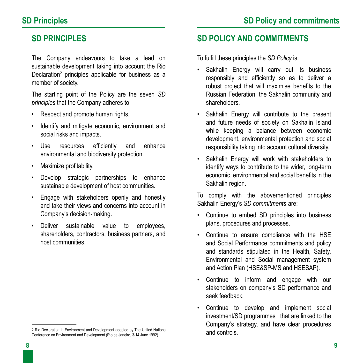#### **SD PRINCIPLES**

The Company endeavours to take a lead on sustainable development taking into account the Rio Declaration<sup>2</sup> principles applicable for business as a member of society.

The starting point of the Policy are the seven *SD principles* that the Company adheres to:

- • Respect and promote human rights.
- • Identify and mitigate economic, environment and social risks and impacts.
- • Use resources efficiently and enhance environmental and biodiversity protection.
- • Maximize profitability.
- • Develop strategic partnerships to enhance sustainable development of host communities.
- • Engage with stakeholders openly and honestly and take their views and concerns into account in Company's decision-making.
- • Deliver sustainable value to employees, shareholders, contractors, business partners, and host communities.

#### **SD POLICY AND COMMITMENTS**

To fulfill these principles the *SD Policy* is:

- Sakhalin Energy will carry out its business responsibly and efficiently so as to deliver a robust project that will maximise benefits to the Russian Federation, the Sakhalin community and shareholders.
- Sakhalin Energy will contribute to the present and future needs of society on Sakhalin Island while keeping a balance between economic development, environmental protection and social responsibility taking into account cultural diversity.
- Sakhalin Energy will work with stakeholders to identify ways to contribute to the wider, long-term economic, environmental and social benefits in the Sakhalin region.

To comply with the abovementioned principles Sakhalin Energy's *SD commitments* are:

- Continue to embed SD principles into business plans, procedures and processes.
- • Continue to ensure compliance with the HSE and Social Performance commitments and policy and standards stipulated in the Health, Safety, Environmental and Social management system and Action Plan (HSE&SP-MS and HSESAP).
- Continue to inform and engage with our stakeholders on company's SD performance and seek feedback.
- Continue to develop and implement social investment/SD programmes that are linked to the Company's strategy, and have clear procedures and controls.

<sup>2</sup> Rio Declaration in Environment and Development adopted by The United Nations Conference on Environment and Development (Rio de Janeiro, 3-14 June 1992)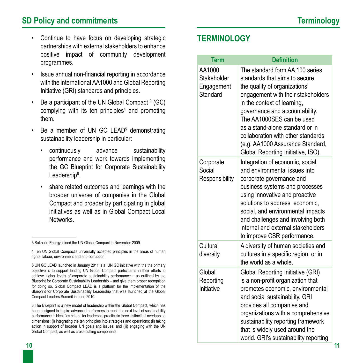#### **SD Policy and commitments Terminology**

- • Continue to have focus on developing strategic partnerships with external stakeholders to enhance positive impact of community development programmes.
- • Issue annual non-financial reporting in accordance with the international AA1000 and Global Reporting Initiative (GRI) standards and principles.
- Be a participant of the UN Global Compact  $3$  (GC) complying with its ten principles $4$  and promoting them.
- Be a member of UN GC LEAD<sup>5</sup> demonstrating sustainability leadership in particular:
	- • continuously advance sustainability performance and work towards implementing the GC Blueprint for Corporate Sustainability Leadership<sup>6</sup>.
	- • share related outcomes and learnings with the broader universe of companies in the Global Compact and broader by participating in global initiatives as well as in Global Compact Local **Networks**

### **TERMINOLOGY**

| <b>Term</b><br><b>Definition</b> |                                                 |                                                                                                                                                                                                                                                                                                                                                                                          |
|----------------------------------|-------------------------------------------------|------------------------------------------------------------------------------------------------------------------------------------------------------------------------------------------------------------------------------------------------------------------------------------------------------------------------------------------------------------------------------------------|
|                                  | AA1000<br>Stakeholder<br>Engagement<br>Standard | The standard form AA 100 series<br>standards that aims to secure<br>the quality of organizations'<br>engagement with their stakeholders<br>in the context of learning,<br>governance and accountability.<br>The AA1000SES can be used<br>as a stand-alone standard or in<br>collaboration with other standards<br>(e.g. AA1000 Assurance Standard,<br>Global Reporting Initiative, ISO). |
|                                  | Corporate<br>Social<br>Responsibility           | Integration of economic, social,<br>and environmental issues into<br>corporate governance and<br>business systems and processes<br>using innovative and proactive<br>solutions to address economic,<br>social, and environmental impacts<br>and challenges and involving both<br>internal and external stakeholders<br>to improve CSR performance.                                       |
|                                  | Cultural<br>diversity                           | A diversity of human societies and<br>cultures in a specific region, or in<br>the world as a whole.                                                                                                                                                                                                                                                                                      |
|                                  | Global<br>Reporting<br>Initiative               | <b>Global Reporting Initiative (GRI)</b><br>is a non-profit organization that<br>promotes economic, environmental<br>and social sustainability. GRI<br>provides all companies and<br>organizations with a comprehensive<br>sustainability reporting framework<br>that is widely used around the<br>world. GRI's sustainability reporting                                                 |

<sup>3</sup> Sakhalin Energy joined the UN Global Compact in November 2009.

<sup>4</sup> Ten UN Global Compact's universally accepted principles in the areas of human rights, labour, environment and anti-corruption.

<sup>5</sup> UN GC LEAD launched in January 2011 is a UN GC initiative with the the primary objective is to support leading UN Global Compact participants in their efforts to achieve higher levels of corporate sustainability performance – as outlined by the Blueprint for Corporate Sustainability Leadership – and give them proper recognition for doing so. Global Compact LEAD is a platform for the implementation of the Blueprint for Corporate Sustainability Leadership that was launched at the Global Compact Leaders Summit in June 2010.

<sup>6</sup> The Blueprint is a new model of leadership within the Global Compact, which has been designed to inspire advanced performers to reach the next level of sustainability performance. It identifies criteria for leadership practice in three distinct but overlapping dimensions: (i) integrating the ten principles into strategies and operations; (ii) taking action in support of broader UN goals and issues; and (iii) engaging with the UN Global Compact; as well as cross-cutting components.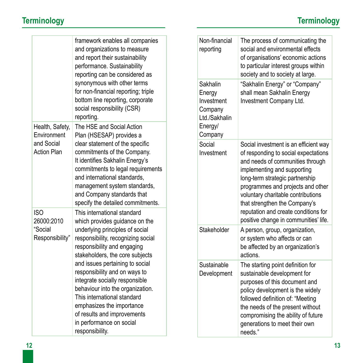|                                  | framework enables all companies<br>and organizations to measure<br>and report their sustainability<br>performance. Sustainability<br>reporting can be considered as<br>synonymous with other terms<br>for non-financial reporting; triple<br>bottom line reporting, corporate<br>social responsibility (CSR)<br>reporting.<br>The HSE and Social Action<br>Plan (HSESAP) provides a<br>clear statement of the specific<br>commitments of the Company.<br>It identifies Sakhalin Energy's<br>commitments to legal requirements<br>and international standards,<br>management system standards,<br>and Company standards that<br>specify the detailed commitments.<br>This international standard<br>which provides guidance on the<br>underlying principles of social<br>responsibility, recognizing social<br>responsibility and engaging<br>stakeholders, the core subjects<br>and issues pertaining to social<br>responsibility and on ways to<br>integrate socially responsible<br>behaviour into the organization.<br>This international standard<br>emphasizes the importance<br>of results and improvements<br>in performance on social<br>responsibility. |  | Non-financial<br>reporting                                                         | The process of communicating the<br>social and environmental effects<br>of organisations' economic actions<br>to particular interest groups within<br>society and to society at large.                                                                                                                                                                                           |
|----------------------------------|------------------------------------------------------------------------------------------------------------------------------------------------------------------------------------------------------------------------------------------------------------------------------------------------------------------------------------------------------------------------------------------------------------------------------------------------------------------------------------------------------------------------------------------------------------------------------------------------------------------------------------------------------------------------------------------------------------------------------------------------------------------------------------------------------------------------------------------------------------------------------------------------------------------------------------------------------------------------------------------------------------------------------------------------------------------------------------------------------------------------------------------------------------------|--|------------------------------------------------------------------------------------|----------------------------------------------------------------------------------------------------------------------------------------------------------------------------------------------------------------------------------------------------------------------------------------------------------------------------------------------------------------------------------|
|                                  |                                                                                                                                                                                                                                                                                                                                                                                                                                                                                                                                                                                                                                                                                                                                                                                                                                                                                                                                                                                                                                                                                                                                                                  |  | Sakhalin<br>Energy<br>Investment<br>Company<br>Ltd./Sakhalin<br>Energy/<br>Company | "Sakhalin Energy" or "Company"<br>shall mean Sakhalin Energy<br>Investment Company Ltd.                                                                                                                                                                                                                                                                                          |
| Health, Safety,<br>Environment   |                                                                                                                                                                                                                                                                                                                                                                                                                                                                                                                                                                                                                                                                                                                                                                                                                                                                                                                                                                                                                                                                                                                                                                  |  |                                                                                    |                                                                                                                                                                                                                                                                                                                                                                                  |
| and Social<br><b>Action Plan</b> |                                                                                                                                                                                                                                                                                                                                                                                                                                                                                                                                                                                                                                                                                                                                                                                                                                                                                                                                                                                                                                                                                                                                                                  |  | Social<br>Investment                                                               | Social investment is an efficient way<br>of responding to social expectations<br>and needs of communities through<br>implementing and supporting<br>long-term strategic partnership<br>programmes and projects and other<br>voluntary charitable contributions<br>that strengthen the Company's<br>reputation and create conditions for<br>positive change in communities' life. |
| <b>ISO</b><br>26000:2010         |                                                                                                                                                                                                                                                                                                                                                                                                                                                                                                                                                                                                                                                                                                                                                                                                                                                                                                                                                                                                                                                                                                                                                                  |  |                                                                                    |                                                                                                                                                                                                                                                                                                                                                                                  |
| "Social<br>Responsibility"       |                                                                                                                                                                                                                                                                                                                                                                                                                                                                                                                                                                                                                                                                                                                                                                                                                                                                                                                                                                                                                                                                                                                                                                  |  | Stakeholder                                                                        | A person, group, organization,<br>or system who affects or can<br>be affected by an organization's<br>actions.                                                                                                                                                                                                                                                                   |
|                                  |                                                                                                                                                                                                                                                                                                                                                                                                                                                                                                                                                                                                                                                                                                                                                                                                                                                                                                                                                                                                                                                                                                                                                                  |  | Sustainable<br>Development                                                         | The starting point definition for<br>sustainable development for<br>purposes of this document and<br>policy development is the widely<br>followed definition of: "Meeting<br>the needs of the present without<br>compromising the ability of future<br>generations to meet their own<br>needs."                                                                                  |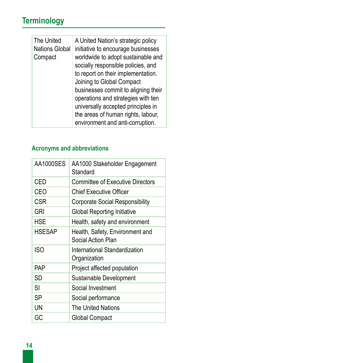# **Terminology**

| The United<br><b>Nations Global</b><br>Compact | A United Nation's strategic policy<br>initiative to encourage businesses<br>worldwide to adopt sustainable and<br>socially responsible policies, and<br>to report on their implementation.<br>Joining to Global Compact<br>businesses commit to aligning their |
|------------------------------------------------|----------------------------------------------------------------------------------------------------------------------------------------------------------------------------------------------------------------------------------------------------------------|
|                                                | operations and strategies with ten<br>universally accepted principles in                                                                                                                                                                                       |
|                                                | the areas of human rights, labour,<br>environment and anti-corruption.                                                                                                                                                                                         |

#### **Acronyms and abbreviations**

| AA1000SES  | AA1000 Stakeholder Engagement<br>Standard             |
|------------|-------------------------------------------------------|
| CED        | <b>Committee of Executive Directors</b>               |
| CEO        | <b>Chief Executive Officer</b>                        |
| CSR        | <b>Corporate Social Responsibility</b>                |
| GRI        | <b>Global Reporting Initiative</b>                    |
| HSE        | Health, safety and environment                        |
| HSESAP     | Health, Safety, Environment and<br>Social Action Plan |
| <b>ISO</b> | International Standardization<br>Organization         |
| PAP        | Project affected population                           |
| SD         | Sustainable Development                               |
| SI         | Social Investment                                     |
| SP         | Social performance                                    |
| UN         | The United Nations                                    |
| GC         | Global Compact                                        |